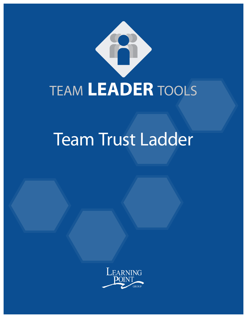

# Team Trust Ladder

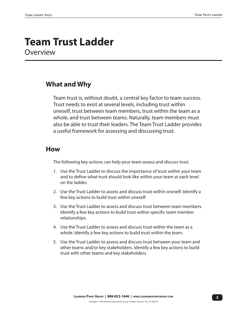### **Team Trust Ladder Overview**

#### **What and Why**

Team trust is, without doubt, a central key factor to team success. Trust needs to exist at several levels, including trust within oneself, trust between team members, trust within the team as a whole, and trust between teams. Naturally, team members must also be able to trust their leaders. The Team Trust Ladder provides a useful framework for assessing and discussing trust.

#### **How**

The following key actions can help your team assess and discuss trust.

- 1. Use the Trust Ladder to discuss the importance of trust within your team and to define what trust should look like within your team at each level on the ladder.
- 2. Use the Trust Ladder to assess and discuss trust within oneself. Identify a few key actions to build trust within oneself.
- 3. Use the Trust Ladder to assess and discuss trust between team members. Identify a few key actions to build trust within specific team member relationships.
- 4. Use the Trust Ladder to assess and discuss trust within the team as a whole. Identify a few key actions to build trust within the team.
- 5. Use the Trust Ladder to assess and discuss trust between your team and other teams and/or key stakeholders. Identify a few key actions to build trust with other teams and key stakeholders.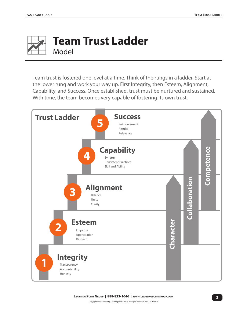

### **Team Trust Ladder** Model

Team trust is fostered one level at a time. Think of the rungs in a ladder. Start at the lower rung and work your way up. First Integrity, then Esteem, Alignment, Capability, and Success. Once established, trust must be nurtured and sustained. With time, the team becomes very capable of fostering its own trust.

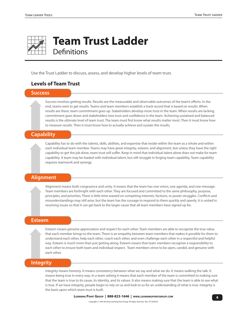

## **Team Trust Ladder**

**Definitions** 

Use the Trust Ladder to discuss, assess, and develop higher levels of team trust.

#### **Levels of Team Trust**

#### **Success**

Success involves getting results. Results are the measurable and observable outcomes of the team's efforts. In the end, teams exist to get results. Teams and team members establish a track record that is based on results. When results are there, team commitment goes up. Stakeholders develop more trust in the team. When results are lacking, commitment goes down and stakeholders lose trust and confidence in the team. Achieving sustained and balanced results is the ultimate level of team trust. The team must first know what results matter most. Then it must know how to measure results. Then it must know how to actually achieve and sustain the results.

#### **Capability**

Capability has to do with the talents, skills, abilities, and expertise that reside within the team as a whole and within each individual team member. Teams may have great integrity, esteem, and alignment, but unless they have the right capability to get the job done, team trust will suffer. Keep in mind that individual talent alone does not make for team capability. A team may be loaded with individual talent, but still struggle in forging team capability. Team capability requires teamwork and synergy.

#### **Alignment**

Alignment means both congruence and unity. It means that the team has one vision, one agenda, and one message. Team members are forthright with each other. They are focused and committed to the same philosophy, purpose, principles, and priorities. There is little time wasted on competing interests, factions, or power struggles. Conflicts and misunderstandings may still arise, but the team has the courage to respond to them quickly and openly. It is united in resolving issues so that it can get back to the larger cause that all team members have signed up for.

#### **Esteem**

Esteem means genuine appreciation and respect for each other. Team members are able to recognize the true value that each member brings to the team. There is an empathy between team members that makes it possible for them to understand each other, help each other, coach each other, and even challenge each other in a respectful and helpful way. Esteem is much more than just getting along. Esteem means that team members recognize a responsibility to each other to ensure both team and individual respect. Team members strive to be open, candid, and genuine with each other.

#### **Integrity**

Integrity means honesty. It means consistency between what we say and what we do. It means walking the talk. It means being true in every way. In a team setting it means that each member of the team is committed to making sure that the team is true to its cause, its identity, and its values. It also means making sure that the team is able to see what is true. If we have integrity, people begin to rely on us and look to us for an understanding of what is true. Integrity is the basis upon which team trust is built.

**4 Learning Point Group | 888-823-1646 | www.learningpointgroup.com**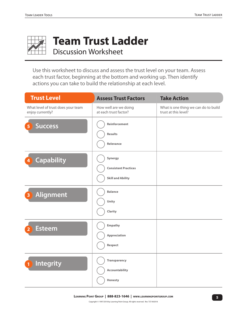

## **Team Trust Ladder**

Discussion Worksheet

Use this worksheet to discuss and assess the trust level on your team. Assess each trust factor, beginning at the bottom and working up. Then identify actions you can take to build the relationship at each level.

| <b>Trust Level</b>                                     | <b>Assess Trust Factors</b>                                        | <b>Take Action</b>                                           |
|--------------------------------------------------------|--------------------------------------------------------------------|--------------------------------------------------------------|
| What level of trust does your team<br>enjoy currently? | How well are we doing<br>at each trust factor?                     | What is one thing we can do to build<br>trust at this level? |
| <b>Success</b><br>5                                    | Reinforcement<br><b>Results</b><br>Relevance                       |                                                              |
| <b>Capability</b><br>4                                 | Synergy<br><b>Consistent Practices</b><br><b>Skill and Ability</b> |                                                              |
| <b>Alignment</b><br>з                                  | <b>Balance</b><br>Unity<br>Clarity                                 |                                                              |
| <b>Esteem</b><br>$\overline{2}$                        | <b>Empathy</b><br>Appreciation<br>Respect                          |                                                              |
| Integrity                                              | <b>Transparency</b><br>Accountability<br>Honesty                   |                                                              |